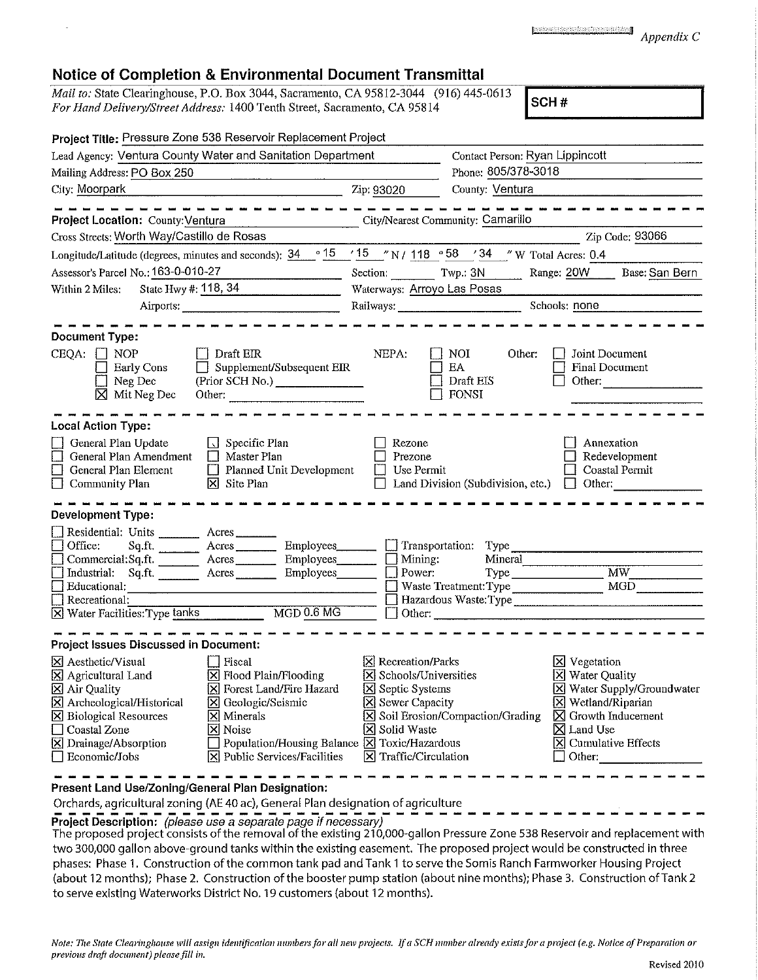| the problem of the company of the company of the company of the company of the company of the company of the company of the company of the company of the company of the company of the company of the company of the company<br><b>General Administration Committee Committee Committee Committee</b> |  |
|--------------------------------------------------------------------------------------------------------------------------------------------------------------------------------------------------------------------------------------------------------------------------------------------------------|--|
|                                                                                                                                                                                                                                                                                                        |  |
|                                                                                                                                                                                                                                                                                                        |  |
|                                                                                                                                                                                                                                                                                                        |  |

## **<sup>a</sup>** *Appendix C*

| <b>Notice of Completion &amp; Environmental Document Transmittal</b>                                                                                                                                                                                                                                         |                                                                                                                                                                                                                                                                                                            |                                                                                                                                                                                                                          |                                   |
|--------------------------------------------------------------------------------------------------------------------------------------------------------------------------------------------------------------------------------------------------------------------------------------------------------------|------------------------------------------------------------------------------------------------------------------------------------------------------------------------------------------------------------------------------------------------------------------------------------------------------------|--------------------------------------------------------------------------------------------------------------------------------------------------------------------------------------------------------------------------|-----------------------------------|
| Mail to: State Clearinghouse, P.O. Box 3044, Sacramento, CA 95812-3044 (916) 445-0613<br>For Hand Delivery/Street Address: 1400 Tenth Street, Sacramento, CA 95814                                                                                                                                           |                                                                                                                                                                                                                                                                                                            | SCH#                                                                                                                                                                                                                     |                                   |
| Project Title: Pressure Zone 538 Reservoir Replacement Project                                                                                                                                                                                                                                               |                                                                                                                                                                                                                                                                                                            |                                                                                                                                                                                                                          |                                   |
| Lead Agency: Ventura County Water and Sanitation Department                                                                                                                                                                                                                                                  |                                                                                                                                                                                                                                                                                                            | Contact Person: Ryan Lippincott                                                                                                                                                                                          |                                   |
| Mailing Address: PO Box 250                                                                                                                                                                                                                                                                                  | <u> 1950 - Johann Barn, mars an Franc</u>                                                                                                                                                                                                                                                                  | Phone: 805/378-3018                                                                                                                                                                                                      |                                   |
| City: Moorpark                                                                                                                                                                                                                                                                                               | Zip: 93020                                                                                                                                                                                                                                                                                                 | County: Ventura                                                                                                                                                                                                          |                                   |
|                                                                                                                                                                                                                                                                                                              |                                                                                                                                                                                                                                                                                                            |                                                                                                                                                                                                                          |                                   |
| Project Location: County: Ventura                                                                                                                                                                                                                                                                            | City/Nearest Community: Camarillo                                                                                                                                                                                                                                                                          |                                                                                                                                                                                                                          |                                   |
| Cross Streets: Worth Way/Castillo de Rosas                                                                                                                                                                                                                                                                   |                                                                                                                                                                                                                                                                                                            |                                                                                                                                                                                                                          | Zip Code; 93066                   |
| Longitude/Latitude (degrees, minutes and seconds): $\frac{34}{9}$ $\frac{15}{15}$ / 15 /N / 118 $\frac{958}{15}$ / 34 /W Total Acres: 0.4                                                                                                                                                                    |                                                                                                                                                                                                                                                                                                            |                                                                                                                                                                                                                          |                                   |
| Assessor's Parcel No.: 163-0-010-27                                                                                                                                                                                                                                                                          |                                                                                                                                                                                                                                                                                                            | Section: Twp.: 3N Range: 20W                                                                                                                                                                                             | Base: San Bern                    |
| State Hwy #: 118, 34<br>Within 2 Miles:                                                                                                                                                                                                                                                                      | Waterways: Arroyo Las Posas                                                                                                                                                                                                                                                                                |                                                                                                                                                                                                                          |                                   |
|                                                                                                                                                                                                                                                                                                              |                                                                                                                                                                                                                                                                                                            | Schools: none                                                                                                                                                                                                            |                                   |
|                                                                                                                                                                                                                                                                                                              |                                                                                                                                                                                                                                                                                                            |                                                                                                                                                                                                                          |                                   |
| Document Type:<br>Draft EIR<br>CEQA:<br>$\Box$ NOP<br><b>Early Cons</b><br>Neg Dec<br>$\boxtimes$ Mit Neg Dec                                                                                                                                                                                                | NEPA:<br>$\Box$ Supplement/Subsequent EIR<br>(Prior SCH No.)<br>Other:                                                                                                                                                                                                                                     | NOI<br>Other:<br>Joint Document<br>EA<br>Final Document<br>Draft EIS<br>Other:<br><b>FONSI</b>                                                                                                                           |                                   |
| <b>Local Action Type:</b>                                                                                                                                                                                                                                                                                    |                                                                                                                                                                                                                                                                                                            |                                                                                                                                                                                                                          |                                   |
| $\Box$ Specific Plan<br>General Plan Update<br>General Plan Amendment<br>$\Box$<br>Master Plan<br>General Plan Element<br>Community Plan<br>$\boxtimes$ Site Plan                                                                                                                                            | Rezone<br>Prezone<br>$\Box$ Planned Unit Development<br>Use Permit<br>$\Box$                                                                                                                                                                                                                               | Annexation<br>Redevelopment<br>Coastal Permit<br>Land Division (Subdivision, etc.)<br>$\Box$ Other:                                                                                                                      |                                   |
| <b>Development Type:</b>                                                                                                                                                                                                                                                                                     |                                                                                                                                                                                                                                                                                                            |                                                                                                                                                                                                                          |                                   |
| Residential: Units ______<br>Acres<br>Office:<br>Sq.ft.<br>Acres<br>Commercial:Sq.ft.<br>Acres<br>Industrial: Sq.ft.<br>Acres<br>$\Box$ Educational:<br>$\Box$ Recreational:<br>$\boxtimes$ Water Facilities: Type tanks                                                                                     | Transportation:<br>Employees<br>Mining:<br>Employees<br>Power:<br>Employees_<br>$MGD$ 0.6 MG                                                                                                                                                                                                               | Type<br>Mineral<br>Type<br>Waste Treatment: Type                                                                                                                                                                         | <b>MW</b><br>MGD <b>MGD</b>       |
| Project Issues Discussed in Document:                                                                                                                                                                                                                                                                        |                                                                                                                                                                                                                                                                                                            |                                                                                                                                                                                                                          |                                   |
| X Aesthetic/Visual<br>Triscal<br>$\boxed{\times}$ Flood Plain/Flooding<br>X Agricultural Land<br><b>区 Air Quality</b><br>X Archeological/Historical<br>X Geologic/Seismic<br><b>X</b> Biological Resources<br>Minerals<br>Coastal Zone<br><b>X</b> Noise<br>$\boxtimes$ Drainage/Absorption<br>Economic/Jobs | <b>X</b> Recreation/Parks<br>$ \overline{\mathsf{x}} $ Schools/Universities<br>X Forest Land/Fire Hazard<br><b>X</b> Septic Systems<br>Sewer Capacity<br>Solid Waste<br>Population/Housing Balance X Toxic/Hazardous<br>$\boxed{\mathsf{X}}$ Public Services/Facilities<br>$\boxtimes$ Traffic/Circulation | <b>X</b> Vegetation<br><b>X</b> Water Quality<br>$[X]$ Wetland/Riparian<br>X Soil Erosion/Compaction/Grading<br>Growth Inducement<br>⊠<br>$\boxtimes$ Land Use<br>$ \overline{\mathsf{x}} $ Cumulative Effects<br>Other: | <b>X</b> Water Supply/Groundwater |

**Present Land Use/Zoning/General Plan Designation:**

Orchards, agricultural zoning (AE 40 ac), General Plan designation of agriculture

**Project Description:** *(please use a separate page if necessary)*

The proposed project consists of the removal of the existing 210,000-gallon Pressure Zone <sup>538</sup> Reservoir and replacement with two 300,000 gallon above-ground tanks within the existing easement. The proposed project would be constructed in three phases: Phase 1. Construction of the common tank pad and Tank <sup>1</sup> to serve the Somis Ranch Farmworker Housing Project (about 12 months); Phase 2. Construction of the booster pump station (about nine months); Phase 3. Construction of Tank 2 to serve existing Waterworks District No.19 customers {about <sup>12</sup> months).

Note: The State Clearinghouse will assign identification numbers for all new projects. If a SCH number already exists for a project (e.g. Notice of Preparation or *previous draft document) please fill in.*